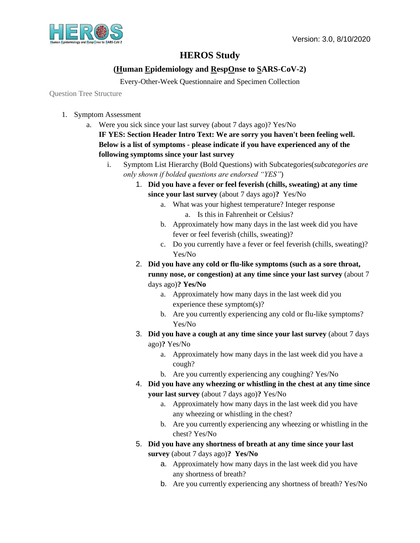

## **HEROS Study**

## **(Human Epidemiology and RespOnse to SARS-CoV-2)**

Every-Other-Week Questionnaire and Specimen Collection

Question Tree Structure

- 1. Symptom Assessment
	- a. Were you sick since your last survey (about 7 days ago)? Yes/No

**IF YES: Section Header Intro Text: We are sorry you haven't been feeling well. Below is a list of symptoms - please indicate if you have experienced any of the following symptoms since your last survey**

- i. Symptom List Hierarchy (Bold Questions) with Subcategories(*subcategories are only shown if bolded questions are endorsed "YES"*)
	- 1. **Did you have a fever or feel feverish (chills, sweating) at any time since your last survey** (about 7 days ago)**?** Yes/No
		- a. What was your highest temperature? Integer response a. Is this in Fahrenheit or Celsius?
		- b. Approximately how many days in the last week did you have fever or feel feverish (chills, sweating)?
		- c. Do you currently have a fever or feel feverish (chills, sweating)? Yes/No
	- 2. **Did you have any cold or flu-like symptoms (such as a sore throat, runny nose, or congestion) at any time since your last survey** (about 7 days ago)**? Yes/No**
		- a. Approximately how many days in the last week did you experience these symptom(s)?
		- b. Are you currently experiencing any cold or flu-like symptoms? Yes/No
	- 3. **Did you have a cough at any time since your last survey** (about 7 days ago)**?** Yes/No
		- a. Approximately how many days in the last week did you have a cough?
		- b. Are you currently experiencing any coughing? Yes/No
	- 4. **Did you have any wheezing or whistling in the chest at any time since your last survey** (about 7 days ago)**?** Yes/No
		- a. Approximately how many days in the last week did you have any wheezing or whistling in the chest?
		- b. Are you currently experiencing any wheezing or whistling in the chest? Yes/No
	- 5. **Did you have any shortness of breath at any time since your last survey** (about 7 days ago)**? Yes/No**
		- a. Approximately how many days in the last week did you have any shortness of breath?
		- b. Are you currently experiencing any shortness of breath? Yes/No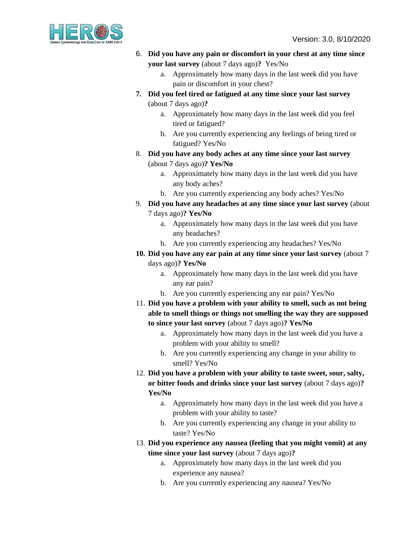

- 6. **Did you have any pain or discomfort in your chest at any time since your last survey** (about 7 days ago)**?** Yes/No
	- a. Approximately how many days in the last week did you have pain or discomfort in your chest?
- **7. Did you feel tired or fatigued at any time since your last survey**  (about 7 days ago)**?**
	- a. Approximately how many days in the last week did you feel tired or fatigued?
	- b. Are you currently experiencing any feelings of being tired or fatigued? Yes/No
- 8. **Did you have any body aches at any time since your last survey**  (about 7 days ago)**? Yes/No**
	- a. Approximately how many days in the last week did you have any body aches?
	- b. Are you currently experiencing any body aches? Yes/No
- 9. **Did you have any headaches at any time since your last survey** (about 7 days ago)**? Yes/No**
	- a. Approximately how many days in the last week did you have any headaches?
	- b. Are you currently experiencing any headaches? Yes/No
- **10. Did you have any ear pain at any time since your last survey** (about 7 days ago)**? Yes/No**
	- a. Approximately how many days in the last week did you have any ear pain?
	- b. Are you currently experiencing any ear pain? Yes/No
- 11. **Did you have a problem with your ability to smell, such as not being able to smell things or things not smelling the way they are supposed to since your last survey** (about 7 days ago)**? Yes/No**
	- a. Approximately how many days in the last week did you have a problem with your ability to smell?
	- b. Are you currently experiencing any change in your ability to smell? Yes/No
- 12. **Did you have a problem with your ability to taste sweet, sour, salty, or bitter foods and drinks since your last survey** (about 7 days ago)**? Yes/No**
	- a. Approximately how many days in the last week did you have a problem with your ability to taste?
	- b. Are you currently experiencing any change in your ability to taste? Yes/No
- 13. **Did you experience any nausea (feeling that you might vomit) at any time since your last survey** (about 7 days ago)**?** 
	- a. Approximately how many days in the last week did you experience any nausea?
	- b. Are you currently experiencing any nausea? Yes/No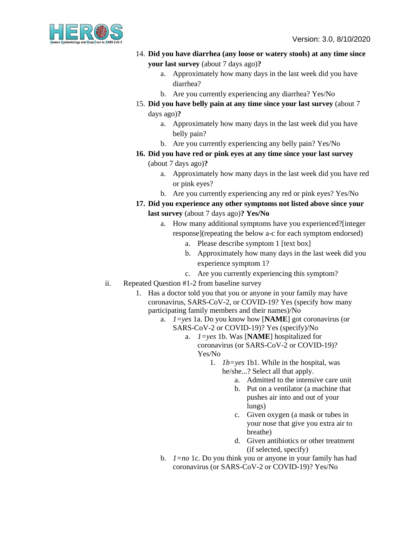

- 14. **Did you have diarrhea (any loose or watery stools) at any time since your last survey** (about 7 days ago)**?** 
	- a. Approximately how many days in the last week did you have diarrhea?
	- b. Are you currently experiencing any diarrhea? Yes/No
- 15. **Did you have belly pain at any time since your last survey** (about 7 days ago)**?** 
	- a. Approximately how many days in the last week did you have belly pain?
	- b. Are you currently experiencing any belly pain? Yes/No
- **16. Did you have red or pink eyes at any time since your last survey**  (about 7 days ago)**?** 
	- a. Approximately how many days in the last week did you have red or pink eyes?
	- b. Are you currently experiencing any red or pink eyes? Yes/No
- **17. Did you experience any other symptoms not listed above since your last survey** (about 7 days ago)**? Yes/No**
	- a. How many additional symptoms have you experienced?[integer response](repeating the below a-c for each symptom endorsed)
		- a. Please describe symptom 1 [text box]
		- b. Approximately how many days in the last week did you experience symptom 1?
		- c. Are you currently experiencing this symptom?
- ii. Repeated Question #1-2 from baseline survey
	- 1. Has a doctor told you that you or anyone in your family may have coronavirus, SARS-CoV-2, or COVID-19? Yes (specify how many participating family members and their names)/No
		- a. *1=yes* 1a. Do you know how [**NAME**] got coronavirus (or SARS-CoV-2 or COVID-19)? Yes (specify)/No
			- a. *1=yes* 1b. Was [**NAME**] hospitalized for coronavirus (or SARS-CoV-2 or COVID-19)? Yes/No
				- 1. *1b=yes* 1b1. While in the hospital, was
					- he/she...? Select all that apply.
						- a. Admitted to the intensive care unit
						- b. Put on a ventilator (a machine that pushes air into and out of your lungs)
						- c. Given oxygen (a mask or tubes in your nose that give you extra air to breathe)
						- d. Given antibiotics or other treatment (if selected, specify)
		- b. *1=no* 1c. Do you think you or anyone in your family has had coronavirus (or SARS-CoV-2 or COVID-19)? Yes/No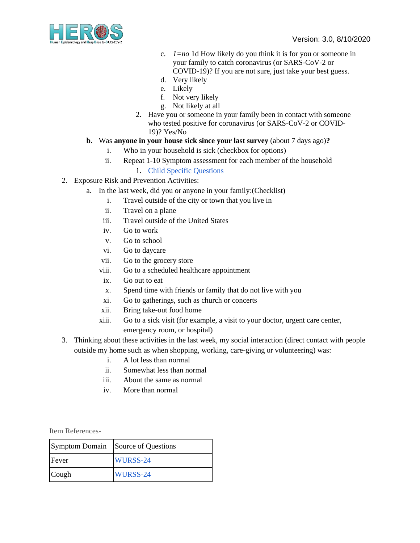

- c. *1=no* 1d How likely do you think it is for you or someone in your family to catch coronavirus (or SARS-CoV-2 or COVID-19)? If you are not sure, just take your best guess.
- d. Very likely
- e. Likely
- f. Not very likely
- g. Not likely at all
- 2. Have you or someone in your family been in contact with someone who tested positive for coronavirus (or SARS-CoV-2 or COVID-19)? Yes/No

## **b.** Was **anyone in your house sick since your last survey** (about 7 days ago)**?**

- i. Who in your household is sick (checkbox for options)
- ii. Repeat 1-10 Symptom assessment for each member of the household

## 1. [Child Specific Questions](https://docs.google.com/document/d/1Cs456CN8mUprJH7g5ZBwB64MUNfNIIYkGHxZnZeOi6g/edit?usp=sharing)

- 2. Exposure Risk and Prevention Activities:
	- a. In the last week, did you or anyone in your family:(Checklist)
		- i. Travel outside of the city or town that you live in
		- ii. Travel on a plane
		- iii. Travel outside of the United States
		- iv. Go to work
		- v. Go to school
		- vi. Go to daycare
		- vii. Go to the grocery store
		- viii. Go to a scheduled healthcare appointment
		- ix. Go out to eat
		- x. Spend time with friends or family that do not live with you
		- xi. Go to gatherings, such as church or concerts
		- xii. Bring take-out food home
		- xiii. Go to a sick visit (for example, a visit to your doctor, urgent care center, emergency room, or hospital)
- 3. Thinking about these activities in the last week, my social interaction (direct contact with people outside my home such as when shopping, working, care-giving or volunteering) was:
	- i. A lot less than normal
	- ii. Somewhat less than normal
	- iii. About the same as normal
	- iv. More than normal

Item References-

| <b>Symptom Domain</b> | Source of Questions |
|-----------------------|---------------------|
| Fever                 | WURSS-24            |
| Cough                 | WURSS-24            |